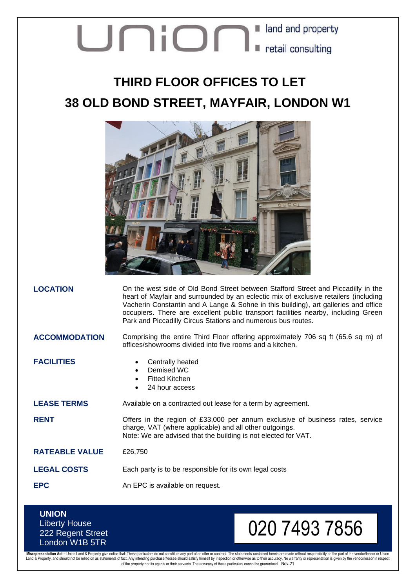# Union I and and property

## **THIRD FLOOR OFFICES TO LET 38 OLD BOND STREET, MAYFAIR, LONDON W1**



**LOCATION** On the west side of Old Bond Street between Stafford Street and Piccadilly in the heart of Mayfair and surrounded by an eclectic mix of exclusive retailers (including Vacherin Constantin and A Lange & Sohne in this building), art galleries and office occupiers. There are excellent public transport facilities nearby, including Green Park and Piccadilly Circus Stations and numerous bus routes.

### **ACCOMMODATION** Comprising the entire Third Floor offering approximately 706 sq ft (65.6 sq m) of offices/showrooms divided into five rooms and a kitchen.

- **FACILITIES** Centrally heated
	- Demised WC
	- **Fitted Kitchen**
	- 24 hour access

**LEASE TERMS** Available on a contracted out lease for a term by agreement.

**RENT** Offers in the region of £33,000 per annum exclusive of business rates, service charge, VAT (where applicable) and all other outgoings. Note: We are advised that the building is not elected for VAT.

**RATEABLE VALUE** £26,750

**LEGAL COSTS** Each party is to be responsible for its own legal costs

**EPC** An EPC is available on request.

## **UNION** Liberty House 222 Regent Street London W1B 5TR

# 020 7493 7856

Misrepresentation Act – Union Land & Property give notice that: These particulars do not constitute any part of an offer or contract. The statements contained herein are made without responsibility on the part of the vendo of the property nor its agents or their servants. The accuracy of these particulars cannot be guaranteed. Nov-21